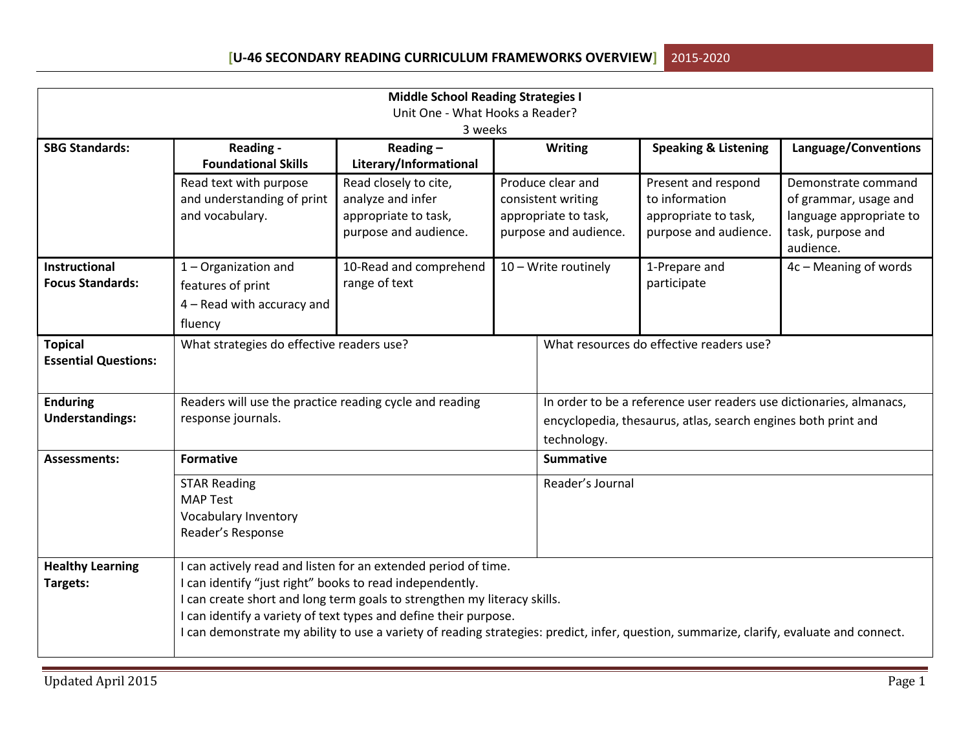| <b>Middle School Reading Strategies I</b>     |                                                          |                                                                                                                                          |  |                                                                     |                                 |                                |  |  |
|-----------------------------------------------|----------------------------------------------------------|------------------------------------------------------------------------------------------------------------------------------------------|--|---------------------------------------------------------------------|---------------------------------|--------------------------------|--|--|
| Unit One - What Hooks a Reader?               |                                                          |                                                                                                                                          |  |                                                                     |                                 |                                |  |  |
|                                               |                                                          | 3 weeks                                                                                                                                  |  |                                                                     |                                 |                                |  |  |
| <b>SBG Standards:</b>                         | Reading -                                                | Reading $-$                                                                                                                              |  | <b>Writing</b>                                                      | <b>Speaking &amp; Listening</b> | Language/Conventions           |  |  |
|                                               | <b>Foundational Skills</b>                               | Literary/Informational                                                                                                                   |  |                                                                     |                                 |                                |  |  |
|                                               | Read text with purpose                                   | Read closely to cite,                                                                                                                    |  | Produce clear and                                                   | Present and respond             | Demonstrate command            |  |  |
|                                               | and understanding of print                               | analyze and infer                                                                                                                        |  | consistent writing                                                  | to information                  | of grammar, usage and          |  |  |
|                                               | and vocabulary.                                          | appropriate to task,                                                                                                                     |  | appropriate to task,                                                | appropriate to task,            | language appropriate to        |  |  |
|                                               |                                                          | purpose and audience.                                                                                                                    |  | purpose and audience.                                               | purpose and audience.           | task, purpose and<br>audience. |  |  |
| <b>Instructional</b>                          | 1 - Organization and                                     | 10-Read and comprehend                                                                                                                   |  | 10 - Write routinely                                                | 1-Prepare and                   | 4c - Meaning of words          |  |  |
| <b>Focus Standards:</b>                       | features of print                                        | range of text                                                                                                                            |  |                                                                     | participate                     |                                |  |  |
|                                               | 4 - Read with accuracy and                               |                                                                                                                                          |  |                                                                     |                                 |                                |  |  |
|                                               | fluency                                                  |                                                                                                                                          |  |                                                                     |                                 |                                |  |  |
| <b>Topical</b><br><b>Essential Questions:</b> | What strategies do effective readers use?                |                                                                                                                                          |  | What resources do effective readers use?                            |                                 |                                |  |  |
|                                               |                                                          |                                                                                                                                          |  |                                                                     |                                 |                                |  |  |
| <b>Enduring</b>                               | Readers will use the practice reading cycle and reading  |                                                                                                                                          |  | In order to be a reference user readers use dictionaries, almanacs, |                                 |                                |  |  |
| <b>Understandings:</b>                        | response journals.                                       |                                                                                                                                          |  | encyclopedia, thesaurus, atlas, search engines both print and       |                                 |                                |  |  |
|                                               |                                                          |                                                                                                                                          |  | technology.                                                         |                                 |                                |  |  |
| <b>Assessments:</b>                           | <b>Formative</b>                                         |                                                                                                                                          |  | <b>Summative</b>                                                    |                                 |                                |  |  |
|                                               | <b>STAR Reading</b>                                      |                                                                                                                                          |  | Reader's Journal                                                    |                                 |                                |  |  |
|                                               | <b>MAP Test</b>                                          |                                                                                                                                          |  |                                                                     |                                 |                                |  |  |
|                                               | Vocabulary Inventory                                     |                                                                                                                                          |  |                                                                     |                                 |                                |  |  |
|                                               | Reader's Response                                        |                                                                                                                                          |  |                                                                     |                                 |                                |  |  |
| <b>Healthy Learning</b>                       |                                                          | I can actively read and listen for an extended period of time.                                                                           |  |                                                                     |                                 |                                |  |  |
| Targets:                                      | I can identify "just right" books to read independently. |                                                                                                                                          |  |                                                                     |                                 |                                |  |  |
|                                               |                                                          | I can create short and long term goals to strengthen my literacy skills.                                                                 |  |                                                                     |                                 |                                |  |  |
|                                               |                                                          | I can identify a variety of text types and define their purpose.                                                                         |  |                                                                     |                                 |                                |  |  |
|                                               |                                                          | I can demonstrate my ability to use a variety of reading strategies: predict, infer, question, summarize, clarify, evaluate and connect. |  |                                                                     |                                 |                                |  |  |
|                                               |                                                          |                                                                                                                                          |  |                                                                     |                                 |                                |  |  |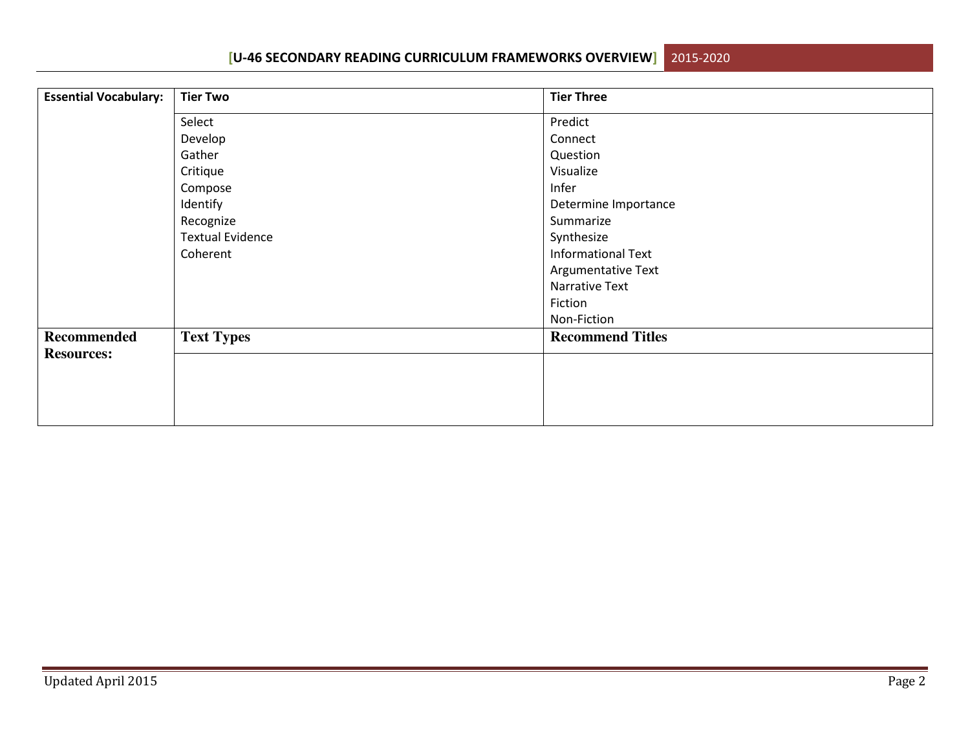**[U-46 SECONDARY READING CURRICULUM FRAMEWORKS OVERVIEW]**2015-2020

**Essential Vocabulary: Tier Two Tier Three** Select Develop Gather Critique Compose Identify Recognize Textual Evidence Coherent Predict**Connect**  Question Visualize Infer Determine Importance Summarize Synthesize Informational Text Argumentative Text Narrative Text Fiction Non-Fiction **Text Types** Recommend Titles **Recommended Resources:**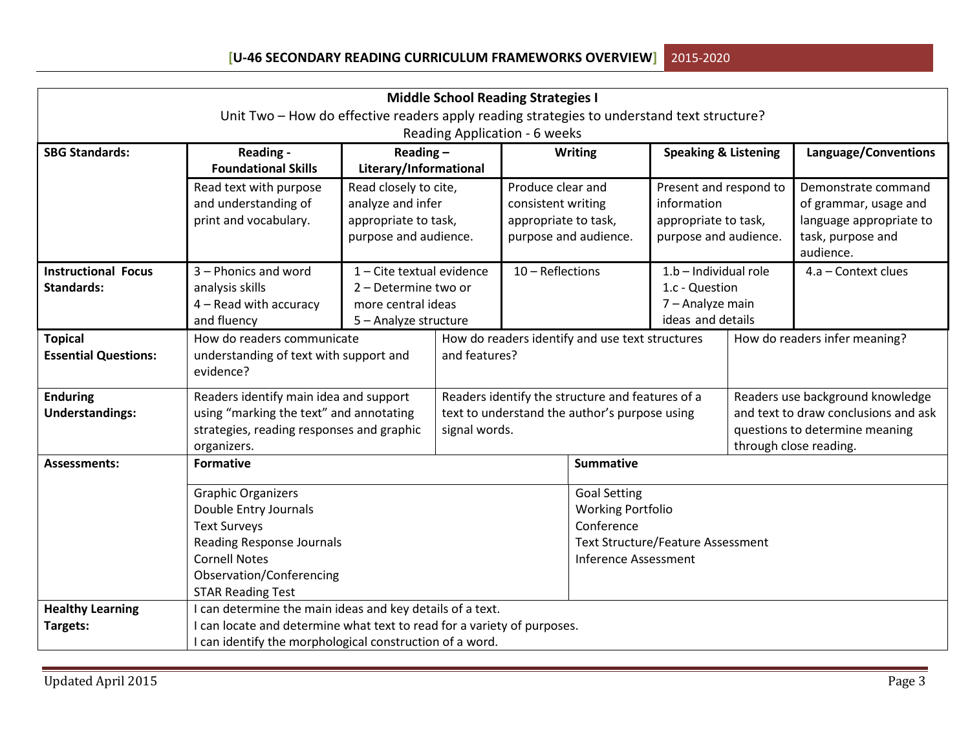| <b>Middle School Reading Strategies I</b>                                                  |                                                                                                                                                                   |                                                                                                                                                                                                        |                                                                                                                                                                                                                                                                                                                                                                   |                                |                                                                                                                                                                                                                          |                                                                                                                                                                                                                                |                                                                                                                                                                                                                  |  |
|--------------------------------------------------------------------------------------------|-------------------------------------------------------------------------------------------------------------------------------------------------------------------|--------------------------------------------------------------------------------------------------------------------------------------------------------------------------------------------------------|-------------------------------------------------------------------------------------------------------------------------------------------------------------------------------------------------------------------------------------------------------------------------------------------------------------------------------------------------------------------|--------------------------------|--------------------------------------------------------------------------------------------------------------------------------------------------------------------------------------------------------------------------|--------------------------------------------------------------------------------------------------------------------------------------------------------------------------------------------------------------------------------|------------------------------------------------------------------------------------------------------------------------------------------------------------------------------------------------------------------|--|
| Unit Two - How do effective readers apply reading strategies to understand text structure? |                                                                                                                                                                   |                                                                                                                                                                                                        |                                                                                                                                                                                                                                                                                                                                                                   |                                |                                                                                                                                                                                                                          |                                                                                                                                                                                                                                |                                                                                                                                                                                                                  |  |
| Reading Application - 6 weeks                                                              |                                                                                                                                                                   |                                                                                                                                                                                                        |                                                                                                                                                                                                                                                                                                                                                                   |                                |                                                                                                                                                                                                                          |                                                                                                                                                                                                                                |                                                                                                                                                                                                                  |  |
| Reading -                                                                                  |                                                                                                                                                                   |                                                                                                                                                                                                        |                                                                                                                                                                                                                                                                                                                                                                   |                                |                                                                                                                                                                                                                          |                                                                                                                                                                                                                                | Language/Conventions                                                                                                                                                                                             |  |
| <b>Foundational Skills</b>                                                                 |                                                                                                                                                                   |                                                                                                                                                                                                        |                                                                                                                                                                                                                                                                                                                                                                   |                                |                                                                                                                                                                                                                          |                                                                                                                                                                                                                                |                                                                                                                                                                                                                  |  |
| Read text with purpose                                                                     |                                                                                                                                                                   |                                                                                                                                                                                                        | Produce clear and                                                                                                                                                                                                                                                                                                                                                 |                                | Present and respond to                                                                                                                                                                                                   |                                                                                                                                                                                                                                | Demonstrate command                                                                                                                                                                                              |  |
| and understanding of                                                                       |                                                                                                                                                                   |                                                                                                                                                                                                        |                                                                                                                                                                                                                                                                                                                                                                   |                                |                                                                                                                                                                                                                          |                                                                                                                                                                                                                                | of grammar, usage and                                                                                                                                                                                            |  |
|                                                                                            |                                                                                                                                                                   |                                                                                                                                                                                                        |                                                                                                                                                                                                                                                                                                                                                                   |                                |                                                                                                                                                                                                                          |                                                                                                                                                                                                                                | language appropriate to                                                                                                                                                                                          |  |
|                                                                                            |                                                                                                                                                                   |                                                                                                                                                                                                        |                                                                                                                                                                                                                                                                                                                                                                   |                                |                                                                                                                                                                                                                          |                                                                                                                                                                                                                                | task, purpose and                                                                                                                                                                                                |  |
|                                                                                            |                                                                                                                                                                   |                                                                                                                                                                                                        |                                                                                                                                                                                                                                                                                                                                                                   |                                |                                                                                                                                                                                                                          |                                                                                                                                                                                                                                | audience.                                                                                                                                                                                                        |  |
|                                                                                            |                                                                                                                                                                   |                                                                                                                                                                                                        |                                                                                                                                                                                                                                                                                                                                                                   |                                |                                                                                                                                                                                                                          |                                                                                                                                                                                                                                | 4.a - Context clues                                                                                                                                                                                              |  |
|                                                                                            |                                                                                                                                                                   |                                                                                                                                                                                                        |                                                                                                                                                                                                                                                                                                                                                                   |                                |                                                                                                                                                                                                                          |                                                                                                                                                                                                                                |                                                                                                                                                                                                                  |  |
|                                                                                            |                                                                                                                                                                   |                                                                                                                                                                                                        |                                                                                                                                                                                                                                                                                                                                                                   |                                |                                                                                                                                                                                                                          |                                                                                                                                                                                                                                |                                                                                                                                                                                                                  |  |
|                                                                                            |                                                                                                                                                                   |                                                                                                                                                                                                        |                                                                                                                                                                                                                                                                                                                                                                   |                                |                                                                                                                                                                                                                          |                                                                                                                                                                                                                                | How do readers infer meaning?                                                                                                                                                                                    |  |
|                                                                                            |                                                                                                                                                                   |                                                                                                                                                                                                        |                                                                                                                                                                                                                                                                                                                                                                   |                                |                                                                                                                                                                                                                          |                                                                                                                                                                                                                                |                                                                                                                                                                                                                  |  |
| evidence?                                                                                  |                                                                                                                                                                   |                                                                                                                                                                                                        |                                                                                                                                                                                                                                                                                                                                                                   |                                |                                                                                                                                                                                                                          |                                                                                                                                                                                                                                |                                                                                                                                                                                                                  |  |
|                                                                                            |                                                                                                                                                                   |                                                                                                                                                                                                        |                                                                                                                                                                                                                                                                                                                                                                   |                                | Readers use background knowledge                                                                                                                                                                                         |                                                                                                                                                                                                                                |                                                                                                                                                                                                                  |  |
|                                                                                            |                                                                                                                                                                   |                                                                                                                                                                                                        |                                                                                                                                                                                                                                                                                                                                                                   |                                |                                                                                                                                                                                                                          |                                                                                                                                                                                                                                | and text to draw conclusions and ask                                                                                                                                                                             |  |
|                                                                                            |                                                                                                                                                                   |                                                                                                                                                                                                        |                                                                                                                                                                                                                                                                                                                                                                   |                                |                                                                                                                                                                                                                          |                                                                                                                                                                                                                                | questions to determine meaning                                                                                                                                                                                   |  |
| organizers.                                                                                |                                                                                                                                                                   |                                                                                                                                                                                                        |                                                                                                                                                                                                                                                                                                                                                                   |                                |                                                                                                                                                                                                                          | through close reading.                                                                                                                                                                                                         |                                                                                                                                                                                                                  |  |
| <b>Formative</b>                                                                           |                                                                                                                                                                   |                                                                                                                                                                                                        |                                                                                                                                                                                                                                                                                                                                                                   |                                |                                                                                                                                                                                                                          |                                                                                                                                                                                                                                |                                                                                                                                                                                                                  |  |
| <b>Graphic Organizers</b>                                                                  |                                                                                                                                                                   |                                                                                                                                                                                                        |                                                                                                                                                                                                                                                                                                                                                                   | <b>Goal Setting</b>            |                                                                                                                                                                                                                          |                                                                                                                                                                                                                                |                                                                                                                                                                                                                  |  |
| Double Entry Journals                                                                      |                                                                                                                                                                   |                                                                                                                                                                                                        |                                                                                                                                                                                                                                                                                                                                                                   |                                |                                                                                                                                                                                                                          |                                                                                                                                                                                                                                |                                                                                                                                                                                                                  |  |
| <b>Text Surveys</b>                                                                        |                                                                                                                                                                   |                                                                                                                                                                                                        |                                                                                                                                                                                                                                                                                                                                                                   |                                |                                                                                                                                                                                                                          |                                                                                                                                                                                                                                |                                                                                                                                                                                                                  |  |
| Reading Response Journals                                                                  |                                                                                                                                                                   |                                                                                                                                                                                                        |                                                                                                                                                                                                                                                                                                                                                                   |                                |                                                                                                                                                                                                                          |                                                                                                                                                                                                                                |                                                                                                                                                                                                                  |  |
| <b>Cornell Notes</b>                                                                       |                                                                                                                                                                   |                                                                                                                                                                                                        |                                                                                                                                                                                                                                                                                                                                                                   |                                |                                                                                                                                                                                                                          |                                                                                                                                                                                                                                |                                                                                                                                                                                                                  |  |
|                                                                                            |                                                                                                                                                                   |                                                                                                                                                                                                        |                                                                                                                                                                                                                                                                                                                                                                   |                                |                                                                                                                                                                                                                          |                                                                                                                                                                                                                                |                                                                                                                                                                                                                  |  |
|                                                                                            |                                                                                                                                                                   |                                                                                                                                                                                                        |                                                                                                                                                                                                                                                                                                                                                                   |                                |                                                                                                                                                                                                                          |                                                                                                                                                                                                                                |                                                                                                                                                                                                                  |  |
|                                                                                            |                                                                                                                                                                   |                                                                                                                                                                                                        |                                                                                                                                                                                                                                                                                                                                                                   |                                |                                                                                                                                                                                                                          |                                                                                                                                                                                                                                |                                                                                                                                                                                                                  |  |
|                                                                                            |                                                                                                                                                                   |                                                                                                                                                                                                        |                                                                                                                                                                                                                                                                                                                                                                   |                                |                                                                                                                                                                                                                          |                                                                                                                                                                                                                                |                                                                                                                                                                                                                  |  |
|                                                                                            | print and vocabulary.<br>3 - Phonics and word<br>analysis skills<br>4 - Read with accuracy<br>and fluency<br>Observation/Conferencing<br><b>STAR Reading Test</b> | How do readers communicate<br>understanding of text with support and<br>Readers identify main idea and support<br>using "marking the text" and annotating<br>strategies, reading responses and graphic | Reading $-$<br>Literary/Informational<br>Read closely to cite,<br>analyze and infer<br>appropriate to task,<br>purpose and audience.<br>1 - Cite textual evidence<br>2 - Determine two or<br>more central ideas<br>5 - Analyze structure<br>I can determine the main ideas and key details of a text.<br>I can identify the morphological construction of a word. | and features?<br>signal words. | <b>Writing</b><br>consistent writing<br>appropriate to task,<br>purpose and audience.<br>$10 - Reflections$<br><b>Summative</b><br>Conference<br>I can locate and determine what text to read for a variety of purposes. | information<br>How do readers identify and use text structures<br>Readers identify the structure and features of a<br>text to understand the author's purpose using<br><b>Working Portfolio</b><br><b>Inference Assessment</b> | <b>Speaking &amp; Listening</b><br>appropriate to task,<br>purpose and audience.<br>1.b - Individual role<br>1.c - Question<br>7 - Analyze main<br>ideas and details<br><b>Text Structure/Feature Assessment</b> |  |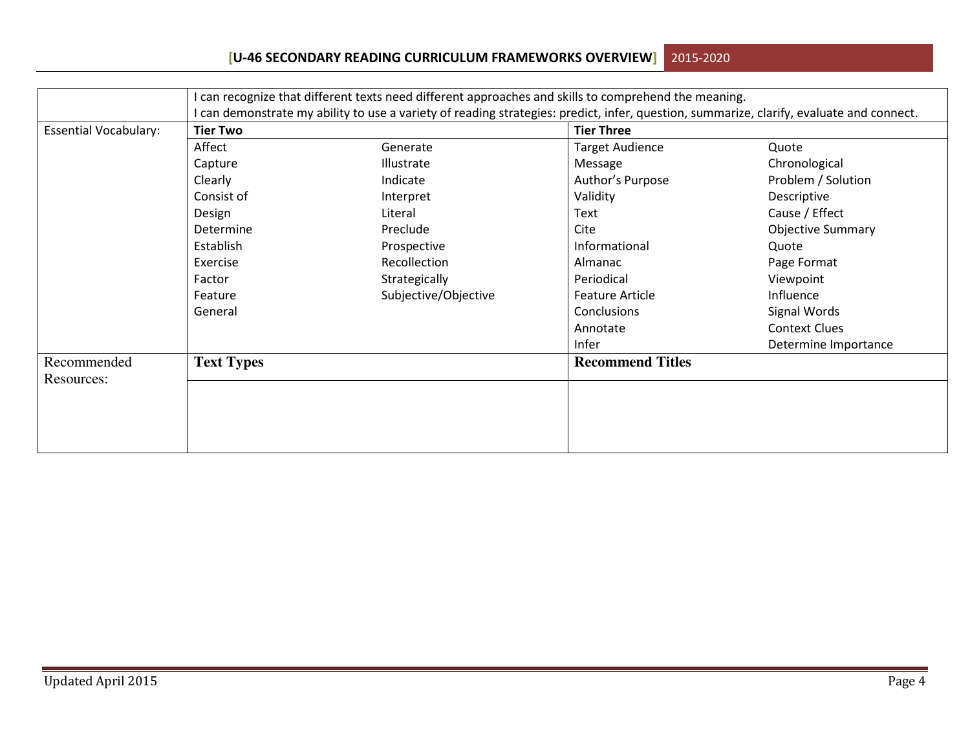## **[U-46 SECONDARY READING CURRICULUM FRAMEWORKS OVERVIEW]**2015-2020

|                              | can recognize that different texts need different approaches and skills to comprehend the meaning.                                       |                      |                         |                          |  |  |  |  |  |
|------------------------------|------------------------------------------------------------------------------------------------------------------------------------------|----------------------|-------------------------|--------------------------|--|--|--|--|--|
|                              | I can demonstrate my ability to use a variety of reading strategies: predict, infer, question, summarize, clarify, evaluate and connect. |                      |                         |                          |  |  |  |  |  |
| <b>Essential Vocabulary:</b> | <b>Tier Two</b>                                                                                                                          |                      | <b>Tier Three</b>       |                          |  |  |  |  |  |
|                              | Affect                                                                                                                                   | Generate             | <b>Target Audience</b>  | Quote                    |  |  |  |  |  |
|                              | Capture                                                                                                                                  | Illustrate           | Message                 | Chronological            |  |  |  |  |  |
|                              | Clearly                                                                                                                                  | Indicate             | Author's Purpose        | Problem / Solution       |  |  |  |  |  |
|                              | Consist of                                                                                                                               | Interpret            | Validity                | Descriptive              |  |  |  |  |  |
|                              | Design                                                                                                                                   | Literal              | Text                    | Cause / Effect           |  |  |  |  |  |
|                              | Determine                                                                                                                                | Preclude             | Cite                    | <b>Objective Summary</b> |  |  |  |  |  |
|                              | Establish                                                                                                                                | Prospective          | Informational           | Quote                    |  |  |  |  |  |
|                              | Exercise                                                                                                                                 | Recollection         | Almanac                 | Page Format              |  |  |  |  |  |
|                              | Factor                                                                                                                                   | Strategically        | Periodical              | Viewpoint                |  |  |  |  |  |
|                              | Feature                                                                                                                                  | Subjective/Objective | <b>Feature Article</b>  | Influence                |  |  |  |  |  |
|                              | General                                                                                                                                  |                      | Conclusions             | Signal Words             |  |  |  |  |  |
|                              |                                                                                                                                          |                      | Annotate                | <b>Context Clues</b>     |  |  |  |  |  |
|                              |                                                                                                                                          |                      | Infer                   | Determine Importance     |  |  |  |  |  |
| Recommended<br>Resources:    | <b>Text Types</b>                                                                                                                        |                      | <b>Recommend Titles</b> |                          |  |  |  |  |  |
|                              |                                                                                                                                          |                      |                         |                          |  |  |  |  |  |
|                              |                                                                                                                                          |                      |                         |                          |  |  |  |  |  |
|                              |                                                                                                                                          |                      |                         |                          |  |  |  |  |  |
|                              |                                                                                                                                          |                      |                         |                          |  |  |  |  |  |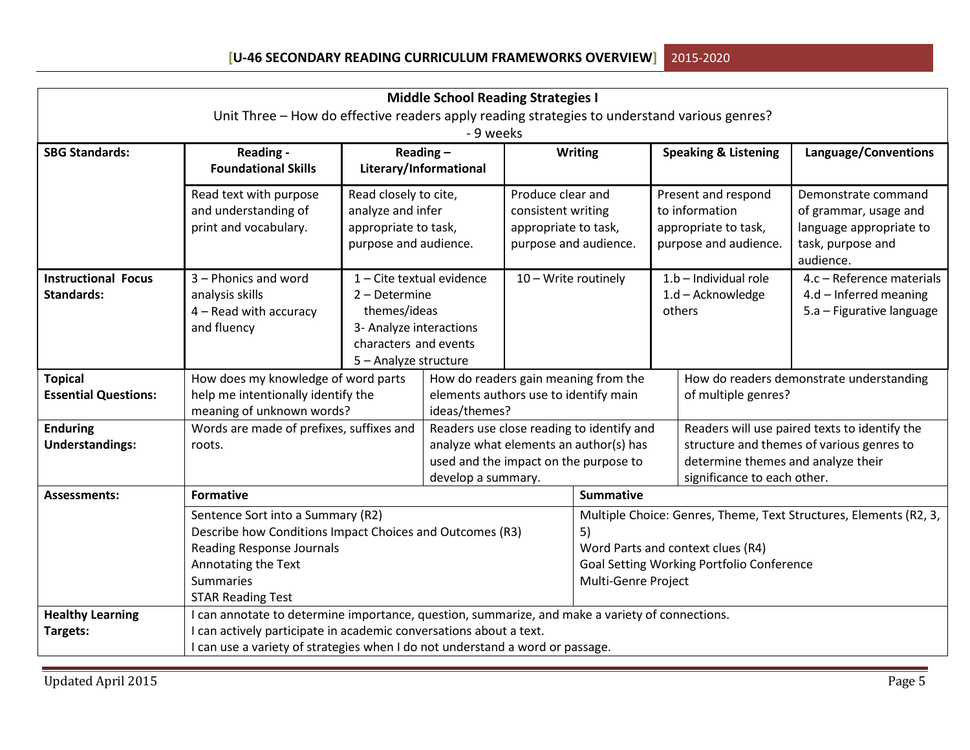| <b>Middle School Reading Strategies I</b> |                                                                                                                                                                       |                           |                                       |                      |                                                                               |  |                                           |                                               |  |
|-------------------------------------------|-----------------------------------------------------------------------------------------------------------------------------------------------------------------------|---------------------------|---------------------------------------|----------------------|-------------------------------------------------------------------------------|--|-------------------------------------------|-----------------------------------------------|--|
|                                           | Unit Three - How do effective readers apply reading strategies to understand various genres?                                                                          |                           |                                       |                      |                                                                               |  |                                           |                                               |  |
| - 9 weeks                                 |                                                                                                                                                                       |                           |                                       |                      |                                                                               |  |                                           |                                               |  |
| <b>SBG Standards:</b>                     | Reading -                                                                                                                                                             |                           | Reading $-$                           |                      | <b>Writing</b>                                                                |  | <b>Speaking &amp; Listening</b>           | Language/Conventions                          |  |
|                                           | <b>Foundational Skills</b>                                                                                                                                            |                           | Literary/Informational                |                      |                                                                               |  |                                           |                                               |  |
|                                           | Read text with purpose                                                                                                                                                | Read closely to cite,     |                                       | Produce clear and    |                                                                               |  | Present and respond                       | Demonstrate command                           |  |
|                                           | and understanding of                                                                                                                                                  | analyze and infer         |                                       | consistent writing   |                                                                               |  | to information                            | of grammar, usage and                         |  |
|                                           | print and vocabulary.                                                                                                                                                 | appropriate to task,      |                                       | appropriate to task, |                                                                               |  | appropriate to task,                      | language appropriate to                       |  |
|                                           |                                                                                                                                                                       | purpose and audience.     |                                       |                      | purpose and audience.                                                         |  | purpose and audience.                     | task, purpose and<br>audience.                |  |
| <b>Instructional Focus</b>                | 3 - Phonics and word                                                                                                                                                  | 1 - Cite textual evidence |                                       | 10 - Write routinely |                                                                               |  | $1.b$ – Individual role                   | 4.c - Reference materials                     |  |
| <b>Standards:</b>                         | analysis skills                                                                                                                                                       | 2 - Determine             |                                       |                      |                                                                               |  | $1.d - Acknowledge$                       | $4.d$ – Inferred meaning                      |  |
|                                           | $4 -$ Read with accuracy                                                                                                                                              | themes/ideas              |                                       |                      |                                                                               |  | others                                    | 5.a - Figurative language                     |  |
|                                           | and fluency                                                                                                                                                           | 3- Analyze interactions   |                                       |                      |                                                                               |  |                                           |                                               |  |
|                                           |                                                                                                                                                                       | characters and events     |                                       |                      |                                                                               |  |                                           |                                               |  |
|                                           |                                                                                                                                                                       |                           | 5 - Analyze structure                 |                      |                                                                               |  |                                           |                                               |  |
| <b>Topical</b>                            | How does my knowledge of word parts                                                                                                                                   |                           |                                       |                      | How do readers gain meaning from the<br>elements authors use to identify main |  |                                           | How do readers demonstrate understanding      |  |
| <b>Essential Questions:</b>               | help me intentionally identify the<br>meaning of unknown words?                                                                                                       |                           | ideas/themes?                         |                      |                                                                               |  | of multiple genres?                       |                                               |  |
| <b>Enduring</b>                           | Words are made of prefixes, suffixes and                                                                                                                              |                           |                                       |                      | Readers use close reading to identify and                                     |  |                                           | Readers will use paired texts to identify the |  |
| <b>Understandings:</b>                    | roots.                                                                                                                                                                |                           |                                       |                      | analyze what elements an author(s) has                                        |  |                                           | structure and themes of various genres to     |  |
|                                           |                                                                                                                                                                       |                           | used and the impact on the purpose to |                      |                                                                               |  | determine themes and analyze their        |                                               |  |
|                                           |                                                                                                                                                                       |                           | develop a summary.                    |                      |                                                                               |  | significance to each other.               |                                               |  |
| <b>Assessments:</b>                       | <b>Formative</b>                                                                                                                                                      |                           |                                       |                      | <b>Summative</b>                                                              |  |                                           |                                               |  |
|                                           | Sentence Sort into a Summary (R2)                                                                                                                                     |                           |                                       |                      | Multiple Choice: Genres, Theme, Text Structures, Elements (R2, 3,             |  |                                           |                                               |  |
|                                           | Describe how Conditions Impact Choices and Outcomes (R3)                                                                                                              |                           |                                       |                      | 5)                                                                            |  |                                           |                                               |  |
|                                           | <b>Reading Response Journals</b>                                                                                                                                      |                           |                                       |                      | Word Parts and context clues (R4)                                             |  |                                           |                                               |  |
|                                           | Annotating the Text                                                                                                                                                   |                           |                                       |                      | Multi-Genre Project                                                           |  | Goal Setting Working Portfolio Conference |                                               |  |
|                                           |                                                                                                                                                                       | <b>Summaries</b>          |                                       |                      |                                                                               |  |                                           |                                               |  |
|                                           | <b>STAR Reading Test</b>                                                                                                                                              |                           |                                       |                      |                                                                               |  |                                           |                                               |  |
| <b>Healthy Learning</b>                   | I can annotate to determine importance, question, summarize, and make a variety of connections.<br>I can actively participate in academic conversations about a text. |                           |                                       |                      |                                                                               |  |                                           |                                               |  |
| Targets:                                  |                                                                                                                                                                       |                           |                                       |                      |                                                                               |  |                                           |                                               |  |
|                                           | I can use a variety of strategies when I do not understand a word or passage.                                                                                         |                           |                                       |                      |                                                                               |  |                                           |                                               |  |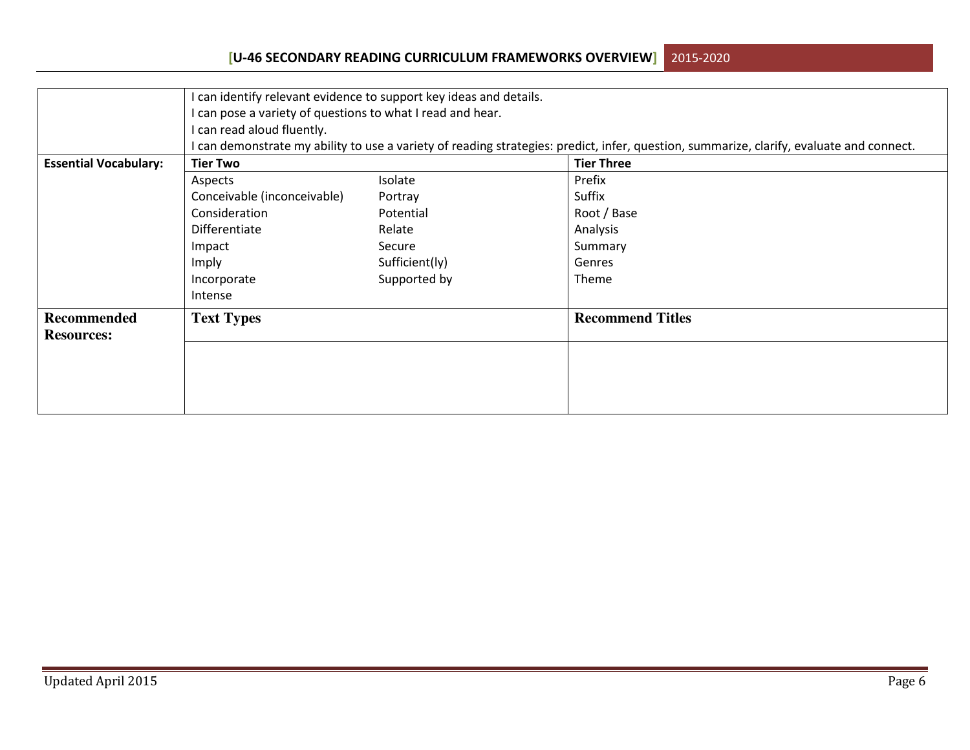## **[U-46 SECONDARY READING CURRICULUM FRAMEWORKS OVERVIEW]**2015-2020

|                              |                                                                                                                                          | I can identify relevant evidence to support key ideas and details. |                         |  |  |  |  |  |  |
|------------------------------|------------------------------------------------------------------------------------------------------------------------------------------|--------------------------------------------------------------------|-------------------------|--|--|--|--|--|--|
|                              | I can pose a variety of questions to what I read and hear.                                                                               |                                                                    |                         |  |  |  |  |  |  |
|                              | I can read aloud fluently.                                                                                                               |                                                                    |                         |  |  |  |  |  |  |
|                              | I can demonstrate my ability to use a variety of reading strategies: predict, infer, question, summarize, clarify, evaluate and connect. |                                                                    |                         |  |  |  |  |  |  |
| <b>Essential Vocabulary:</b> | <b>Tier Two</b>                                                                                                                          |                                                                    | <b>Tier Three</b>       |  |  |  |  |  |  |
|                              | Aspects                                                                                                                                  | Isolate                                                            | Prefix                  |  |  |  |  |  |  |
|                              | Conceivable (inconceivable)                                                                                                              | Portray                                                            | Suffix                  |  |  |  |  |  |  |
|                              | Consideration                                                                                                                            | Potential                                                          | Root / Base             |  |  |  |  |  |  |
|                              | Differentiate                                                                                                                            | Relate                                                             | Analysis                |  |  |  |  |  |  |
|                              | Impact                                                                                                                                   | Secure                                                             | Summary                 |  |  |  |  |  |  |
|                              | Imply                                                                                                                                    | Sufficient(ly)                                                     | Genres                  |  |  |  |  |  |  |
|                              | Incorporate                                                                                                                              | Supported by                                                       | <b>Theme</b>            |  |  |  |  |  |  |
|                              | Intense                                                                                                                                  |                                                                    |                         |  |  |  |  |  |  |
| <b>Recommended</b>           | <b>Text Types</b>                                                                                                                        |                                                                    | <b>Recommend Titles</b> |  |  |  |  |  |  |
| <b>Resources:</b>            |                                                                                                                                          |                                                                    |                         |  |  |  |  |  |  |
|                              |                                                                                                                                          |                                                                    |                         |  |  |  |  |  |  |
|                              |                                                                                                                                          |                                                                    |                         |  |  |  |  |  |  |
|                              |                                                                                                                                          |                                                                    |                         |  |  |  |  |  |  |
|                              |                                                                                                                                          |                                                                    |                         |  |  |  |  |  |  |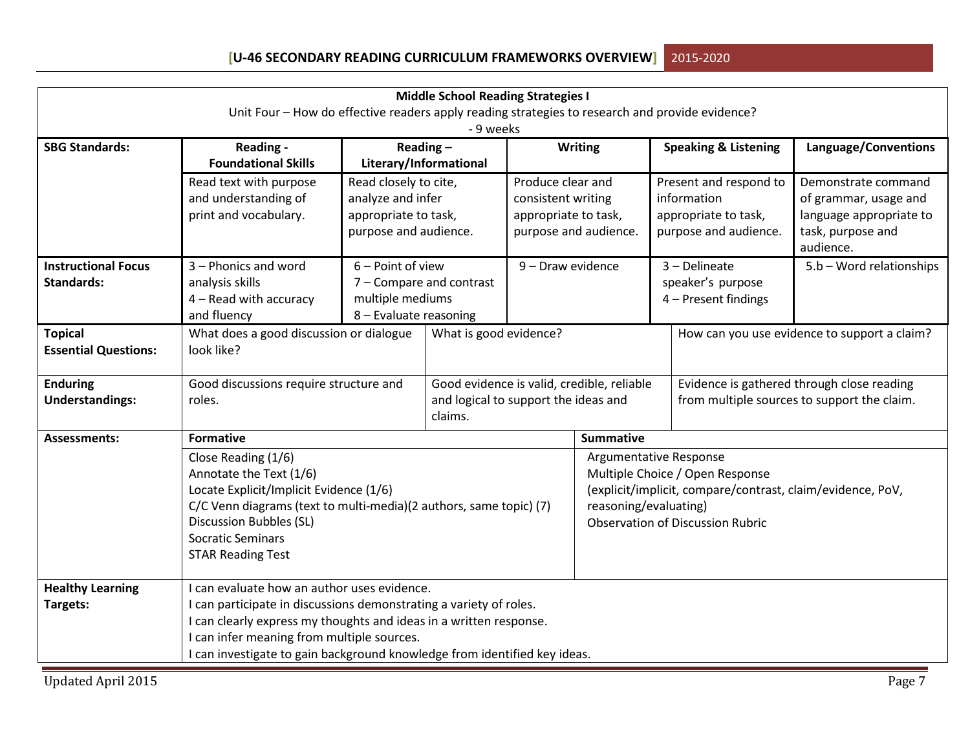| <b>Middle School Reading Strategies I</b>                                                       |                                                                           |                          |                                            |                        |                                                                                                                        |                                             |                                              |                                            |  |
|-------------------------------------------------------------------------------------------------|---------------------------------------------------------------------------|--------------------------|--------------------------------------------|------------------------|------------------------------------------------------------------------------------------------------------------------|---------------------------------------------|----------------------------------------------|--------------------------------------------|--|
| Unit Four - How do effective readers apply reading strategies to research and provide evidence? |                                                                           |                          |                                            |                        |                                                                                                                        |                                             |                                              |                                            |  |
|                                                                                                 |                                                                           |                          | - 9 weeks                                  |                        |                                                                                                                        |                                             |                                              |                                            |  |
| <b>SBG Standards:</b>                                                                           | Reading -                                                                 | Reading $-$              |                                            | <b>Writing</b>         |                                                                                                                        | <b>Speaking &amp; Listening</b>             |                                              | Language/Conventions                       |  |
|                                                                                                 | <b>Foundational Skills</b>                                                | Literary/Informational   |                                            |                        |                                                                                                                        |                                             |                                              |                                            |  |
|                                                                                                 | Read text with purpose                                                    | Read closely to cite,    |                                            | Produce clear and      |                                                                                                                        | Present and respond to                      |                                              | Demonstrate command                        |  |
|                                                                                                 | and understanding of                                                      | analyze and infer        |                                            | consistent writing     |                                                                                                                        |                                             | information                                  | of grammar, usage and                      |  |
|                                                                                                 | print and vocabulary.                                                     | appropriate to task,     |                                            | appropriate to task,   |                                                                                                                        |                                             | appropriate to task,                         | language appropriate to                    |  |
|                                                                                                 |                                                                           | purpose and audience.    |                                            |                        | purpose and audience.<br>purpose and audience.                                                                         |                                             |                                              | task, purpose and<br>audience.             |  |
| <b>Instructional Focus</b>                                                                      | 3 - Phonics and word                                                      | 6 - Point of view        |                                            | 9 - Draw evidence      |                                                                                                                        |                                             | 3 - Delineate                                | 5.b - Word relationships                   |  |
| <b>Standards:</b>                                                                               | analysis skills                                                           | 7 - Compare and contrast |                                            |                        |                                                                                                                        |                                             | speaker's purpose                            |                                            |  |
|                                                                                                 | 4 - Read with accuracy                                                    | multiple mediums         |                                            |                        |                                                                                                                        |                                             | 4 - Present findings                         |                                            |  |
|                                                                                                 | and fluency                                                               | 8 - Evaluate reasoning   |                                            |                        |                                                                                                                        |                                             |                                              |                                            |  |
| <b>Topical</b>                                                                                  | What does a good discussion or dialogue                                   |                          | What is good evidence?                     |                        |                                                                                                                        |                                             | How can you use evidence to support a claim? |                                            |  |
| <b>Essential Questions:</b>                                                                     | look like?                                                                |                          |                                            |                        |                                                                                                                        |                                             |                                              |                                            |  |
| <b>Enduring</b>                                                                                 | Good discussions require structure and                                    |                          | Good evidence is valid, credible, reliable |                        |                                                                                                                        |                                             |                                              | Evidence is gathered through close reading |  |
| <b>Understandings:</b>                                                                          | roles.                                                                    |                          | and logical to support the ideas and       |                        |                                                                                                                        | from multiple sources to support the claim. |                                              |                                            |  |
|                                                                                                 |                                                                           |                          | claims.                                    |                        |                                                                                                                        |                                             |                                              |                                            |  |
| <b>Assessments:</b>                                                                             | <b>Formative</b>                                                          |                          |                                            |                        | <b>Summative</b>                                                                                                       |                                             |                                              |                                            |  |
|                                                                                                 | Close Reading (1/6)                                                       |                          |                                            | Argumentative Response |                                                                                                                        |                                             |                                              |                                            |  |
|                                                                                                 | Annotate the Text (1/6)                                                   |                          |                                            |                        | Multiple Choice / Open Response<br>(explicit/implicit, compare/contrast, claim/evidence, PoV,<br>reasoning/evaluating) |                                             |                                              |                                            |  |
|                                                                                                 | Locate Explicit/Implicit Evidence (1/6)                                   |                          |                                            |                        |                                                                                                                        |                                             |                                              |                                            |  |
|                                                                                                 | C/C Venn diagrams (text to multi-media)(2 authors, same topic) (7)        |                          |                                            |                        |                                                                                                                        |                                             |                                              |                                            |  |
|                                                                                                 | <b>Discussion Bubbles (SL)</b><br><b>Socratic Seminars</b>                |                          |                                            |                        | <b>Observation of Discussion Rubric</b>                                                                                |                                             |                                              |                                            |  |
|                                                                                                 | <b>STAR Reading Test</b>                                                  |                          |                                            |                        |                                                                                                                        |                                             |                                              |                                            |  |
|                                                                                                 |                                                                           |                          |                                            |                        |                                                                                                                        |                                             |                                              |                                            |  |
| <b>Healthy Learning</b>                                                                         | I can evaluate how an author uses evidence.                               |                          |                                            |                        |                                                                                                                        |                                             |                                              |                                            |  |
| Targets:                                                                                        | I can participate in discussions demonstrating a variety of roles.        |                          |                                            |                        |                                                                                                                        |                                             |                                              |                                            |  |
|                                                                                                 | I can clearly express my thoughts and ideas in a written response.        |                          |                                            |                        |                                                                                                                        |                                             |                                              |                                            |  |
|                                                                                                 | I can infer meaning from multiple sources.                                |                          |                                            |                        |                                                                                                                        |                                             |                                              |                                            |  |
|                                                                                                 | I can investigate to gain background knowledge from identified key ideas. |                          |                                            |                        |                                                                                                                        |                                             |                                              |                                            |  |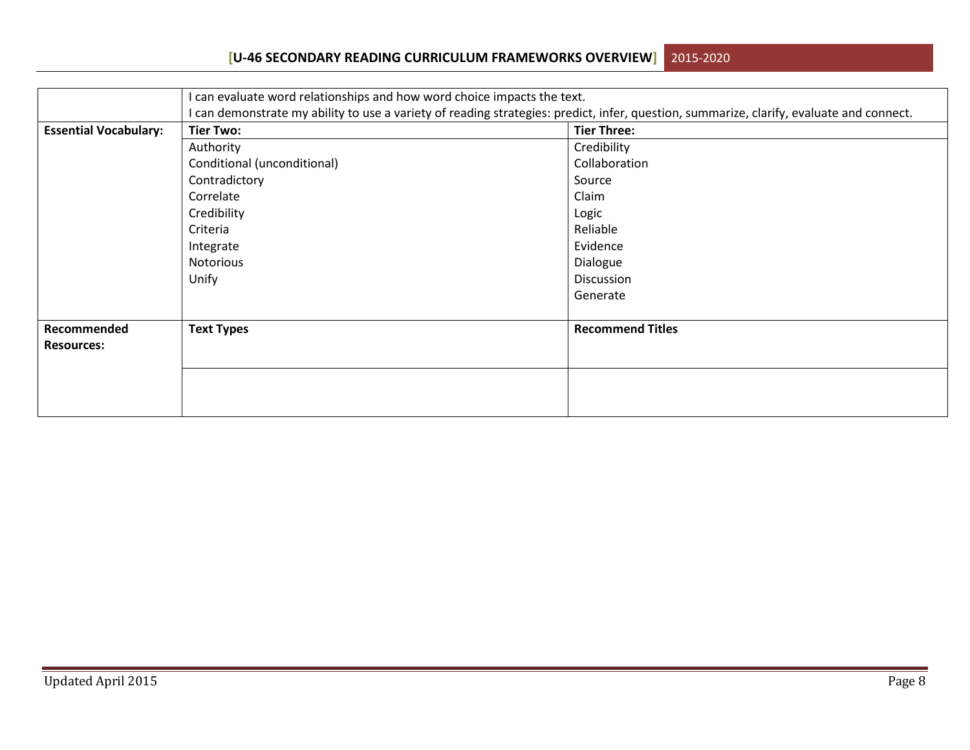|                              | I can evaluate word relationships and how word choice impacts the text.                                                                                                            |                         |  |  |  |  |  |  |
|------------------------------|------------------------------------------------------------------------------------------------------------------------------------------------------------------------------------|-------------------------|--|--|--|--|--|--|
| <b>Essential Vocabulary:</b> | I can demonstrate my ability to use a variety of reading strategies: predict, infer, question, summarize, clarify, evaluate and connect.<br><b>Tier Three:</b><br><b>Tier Two:</b> |                         |  |  |  |  |  |  |
|                              | Authority                                                                                                                                                                          | Credibility             |  |  |  |  |  |  |
|                              |                                                                                                                                                                                    | Collaboration           |  |  |  |  |  |  |
|                              | Conditional (unconditional)                                                                                                                                                        |                         |  |  |  |  |  |  |
|                              | Contradictory                                                                                                                                                                      | Source                  |  |  |  |  |  |  |
|                              | Correlate                                                                                                                                                                          | Claim                   |  |  |  |  |  |  |
|                              | Credibility                                                                                                                                                                        | Logic                   |  |  |  |  |  |  |
|                              | Criteria                                                                                                                                                                           | Reliable                |  |  |  |  |  |  |
|                              | Integrate                                                                                                                                                                          | Evidence                |  |  |  |  |  |  |
|                              | <b>Notorious</b>                                                                                                                                                                   | Dialogue                |  |  |  |  |  |  |
|                              | Unify                                                                                                                                                                              | Discussion              |  |  |  |  |  |  |
|                              |                                                                                                                                                                                    | Generate                |  |  |  |  |  |  |
|                              |                                                                                                                                                                                    |                         |  |  |  |  |  |  |
| Recommended                  | <b>Text Types</b>                                                                                                                                                                  | <b>Recommend Titles</b> |  |  |  |  |  |  |
| <b>Resources:</b>            |                                                                                                                                                                                    |                         |  |  |  |  |  |  |
|                              |                                                                                                                                                                                    |                         |  |  |  |  |  |  |
|                              |                                                                                                                                                                                    |                         |  |  |  |  |  |  |
|                              |                                                                                                                                                                                    |                         |  |  |  |  |  |  |
|                              |                                                                                                                                                                                    |                         |  |  |  |  |  |  |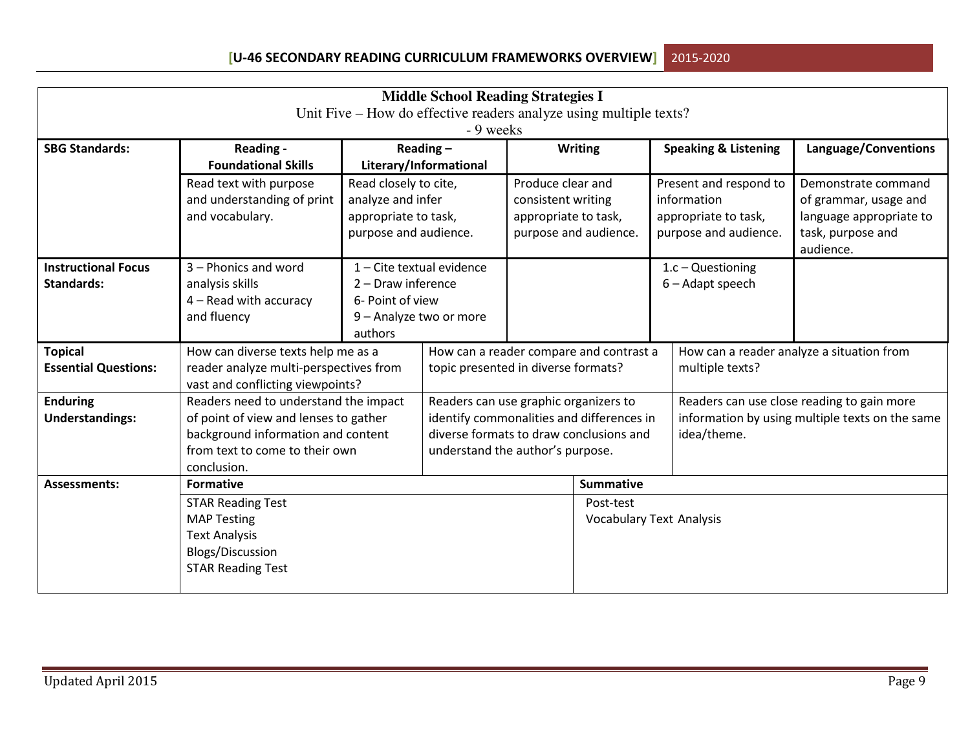| <b>Middle School Reading Strategies I</b>                                       |                                                                                                                                                                       |                                                                                                                                      |  |                                                                                                                                                                   |                                                                  |                                                                                        |                                 |                                                                                                           |
|---------------------------------------------------------------------------------|-----------------------------------------------------------------------------------------------------------------------------------------------------------------------|--------------------------------------------------------------------------------------------------------------------------------------|--|-------------------------------------------------------------------------------------------------------------------------------------------------------------------|------------------------------------------------------------------|----------------------------------------------------------------------------------------|---------------------------------|-----------------------------------------------------------------------------------------------------------|
| Unit Five – How do effective readers analyze using multiple texts?<br>- 9 weeks |                                                                                                                                                                       |                                                                                                                                      |  |                                                                                                                                                                   |                                                                  |                                                                                        |                                 |                                                                                                           |
| <b>SBG Standards:</b>                                                           | Reading -<br><b>Foundational Skills</b>                                                                                                                               | Reading $-$<br>Literary/Informational<br>Read closely to cite,<br>analyze and infer<br>appropriate to task,<br>purpose and audience. |  |                                                                                                                                                                   | <b>Writing</b>                                                   |                                                                                        | <b>Speaking &amp; Listening</b> | Language/Conventions                                                                                      |
|                                                                                 | Read text with purpose<br>and understanding of print<br>and vocabulary.                                                                                               |                                                                                                                                      |  | Produce clear and<br>consistent writing<br>appropriate to task,                                                                                                   | purpose and audience.                                            | Present and respond to<br>information<br>appropriate to task,<br>purpose and audience. |                                 | Demonstrate command<br>of grammar, usage and<br>language appropriate to<br>task, purpose and<br>audience. |
| <b>Instructional Focus</b><br><b>Standards:</b>                                 | 3 - Phonics and word<br>analysis skills<br>4 - Read with accuracy<br>and fluency                                                                                      | 1 - Cite textual evidence<br>2 - Draw inference<br>6- Point of view<br>9 - Analyze two or more<br>authors                            |  |                                                                                                                                                                   |                                                                  | $1.c - Questioning$<br>6 - Adapt speech                                                |                                 |                                                                                                           |
| <b>Topical</b><br><b>Essential Questions:</b>                                   | How can diverse texts help me as a<br>reader analyze multi-perspectives from<br>vast and conflicting viewpoints?                                                      |                                                                                                                                      |  | How can a reader compare and contrast a<br>How can a reader analyze a situation from<br>topic presented in diverse formats?<br>multiple texts?                    |                                                                  |                                                                                        |                                 |                                                                                                           |
| <b>Enduring</b><br><b>Understandings:</b>                                       | Readers need to understand the impact<br>of point of view and lenses to gather<br>background information and content<br>from text to come to their own<br>conclusion. |                                                                                                                                      |  | Readers can use graphic organizers to<br>identify commonalities and differences in<br>diverse formats to draw conclusions and<br>understand the author's purpose. |                                                                  |                                                                                        | idea/theme.                     | Readers can use close reading to gain more<br>information by using multiple texts on the same             |
| <b>Assessments:</b>                                                             | <b>Formative</b><br><b>STAR Reading Test</b><br><b>MAP Testing</b><br><b>Text Analysis</b><br>Blogs/Discussion<br><b>STAR Reading Test</b>                            |                                                                                                                                      |  |                                                                                                                                                                   | <b>Summative</b><br>Post-test<br><b>Vocabulary Text Analysis</b> |                                                                                        |                                 |                                                                                                           |